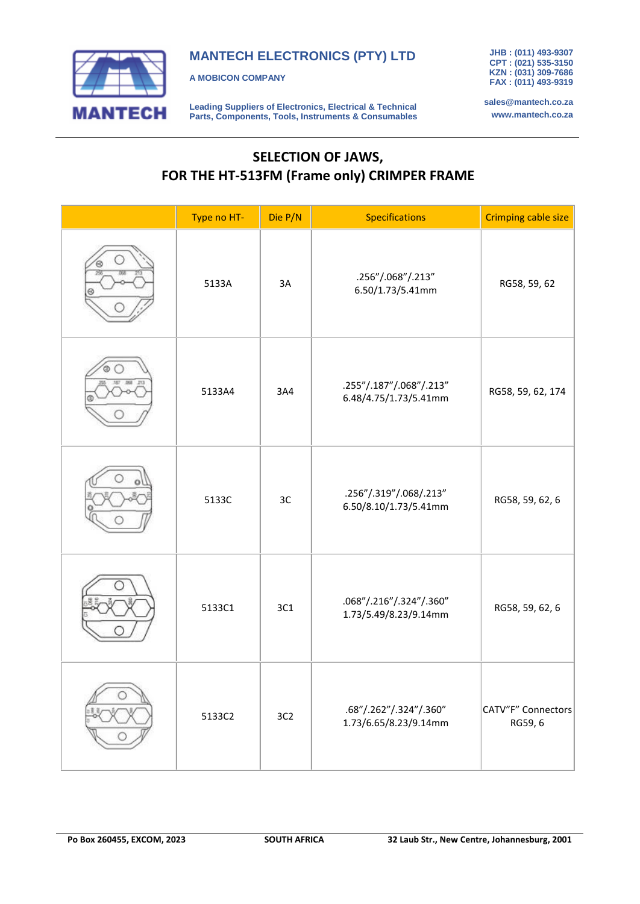

**MANTECH ELECTRONICS (PTY) LTD**

**A MOBICON COMPANY**

**Leading Suppliers of Electronics, Electrical & Technical Parts, Components, Tools, Instruments & Consumables** **JHB : (011) 493-9307 CPT : (021) 535-3150 KZN : (031) 309-7686 FAX : (011) 493-9319**

**sales@mantech.co.za www.mantech.co.za**

## **SELECTION OF JAWS, FOR THE HT-513FM (Frame only) CRIMPER FRAME**

| Type no HT- | Die P/N         | <b>Specifications</b>                            | <b>Crimping cable size</b>    |
|-------------|-----------------|--------------------------------------------------|-------------------------------|
| 5133A       | 3A              | .256"/.068"/.213"<br>6.50/1.73/5.41mm            | RG58, 59, 62                  |
| 5133A4      | 3A4             | .255"/.187"/.068"/.213"<br>6.48/4.75/1.73/5.41mm | RG58, 59, 62, 174             |
| 5133C       | 3C              | .256"/.319"/.068/.213"<br>6.50/8.10/1.73/5.41mm  | RG58, 59, 62, 6               |
| 5133C1      | 3C1             | .068"/.216"/.324"/.360"<br>1.73/5.49/8.23/9.14mm | RG58, 59, 62, 6               |
| 5133C2      | 3C <sub>2</sub> | .68"/.262"/.324"/.360"<br>1.73/6.65/8.23/9.14mm  | CATV"F" Connectors<br>RG59, 6 |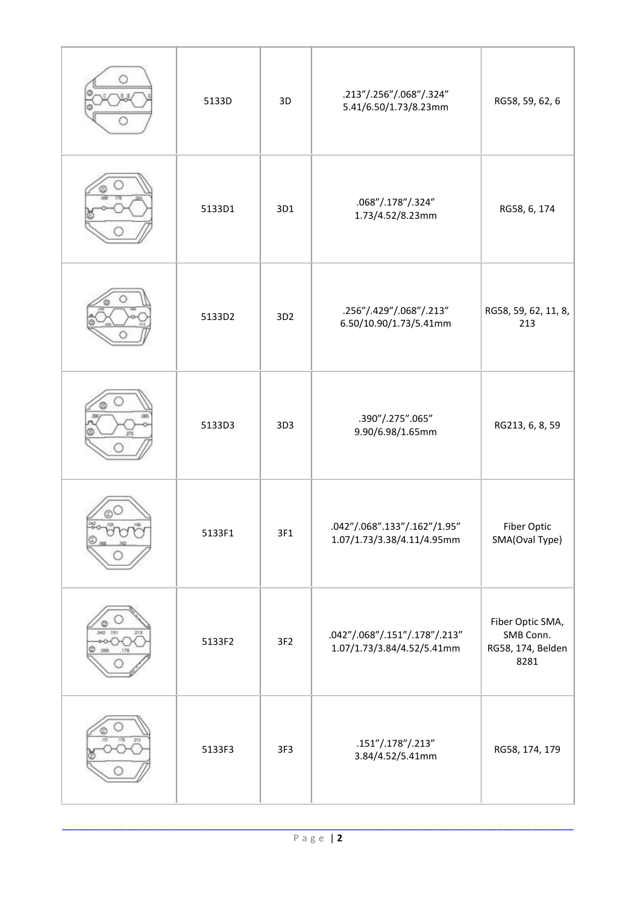| 5133D  | 3D              | .213"/.256"/.068"/.324"<br>5.41/6.50/1.73/8.23mm            | RG58, 59, 62, 6                                            |
|--------|-----------------|-------------------------------------------------------------|------------------------------------------------------------|
| 5133D1 | 3D1             | .068"/.178"/.324"<br>1.73/4.52/8.23mm                       | RG58, 6, 174                                               |
| 5133D2 | 3D <sub>2</sub> | .256"/.429"/.068"/.213"<br>6.50/10.90/1.73/5.41mm           | RG58, 59, 62, 11, 8,<br>213                                |
| 5133D3 | 3D3             | .390"/.275".065"<br>9.90/6.98/1.65mm                        | RG213, 6, 8, 59                                            |
| 5133F1 | 3F1             | .042"/.068".133"/.162"/1.95"<br>1.07/1.73/3.38/4.11/4.95mm  | Fiber Optic<br>SMA(Oval Type)                              |
| 5133F2 | 3F <sub>2</sub> | .042"/.068"/.151"/.178"/.213"<br>1.07/1.73/3.84/4.52/5.41mm | Fiber Optic SMA,<br>SMB Conn.<br>RG58, 174, Belden<br>8281 |
| 5133F3 | 3F <sub>3</sub> | .151''/.178''/.213''<br>3.84/4.52/5.41mm                    | RG58, 174, 179                                             |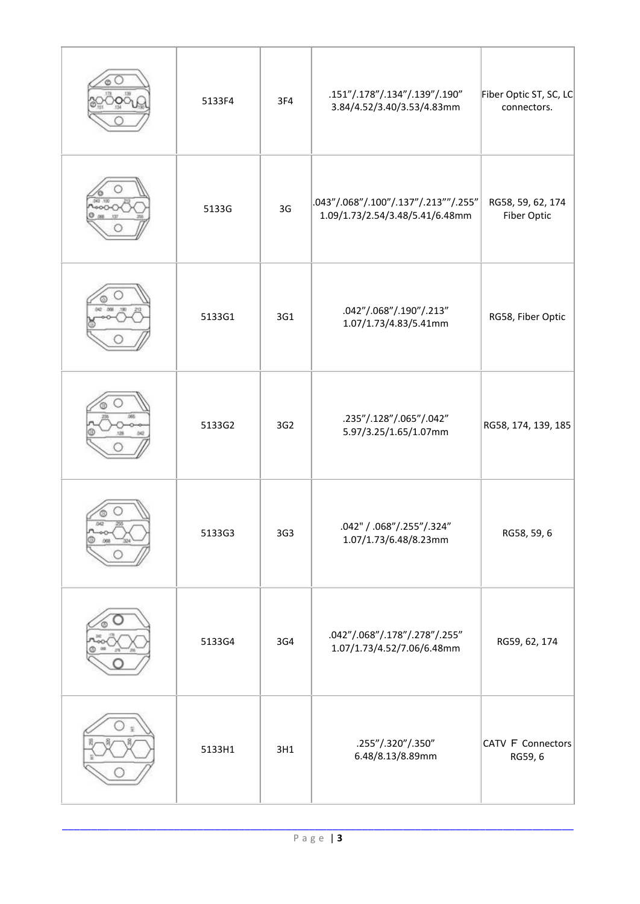| 5133F4 | 3F4 | .151"/.178"/.134"/.139"/.190"<br>3.84/4.52/3.40/3.53/4.83mm             | Fiber Optic ST, SC, LC<br>connectors. |
|--------|-----|-------------------------------------------------------------------------|---------------------------------------|
| 5133G  | 3G  | .043"/.068"/.100"/.137"/.213""/.255"<br>1.09/1.73/2.54/3.48/5.41/6.48mm | RG58, 59, 62, 174<br>Fiber Optic      |
| 5133G1 | 3G1 | .042"/.068"/.190"/.213"<br>1.07/1.73/4.83/5.41mm                        | RG58, Fiber Optic                     |
| 5133G2 | 3G2 | .235"/.128"/.065"/.042"<br>5.97/3.25/1.65/1.07mm                        | RG58, 174, 139, 185                   |
| 5133G3 | 3G3 | .042" / .068"/.255"/.324"<br>1.07/1.73/6.48/8.23mm                      | RG58, 59, 6                           |
| 5133G4 | 3G4 | .042"/.068"/.178"/.278"/.255"<br>1.07/1.73/4.52/7.06/6.48mm             | RG59, 62, 174                         |
| 5133H1 | 3H1 | .255"/.320"/.350"<br>6.48/8.13/8.89mm                                   | CATV F Connectors<br>RG59, 6          |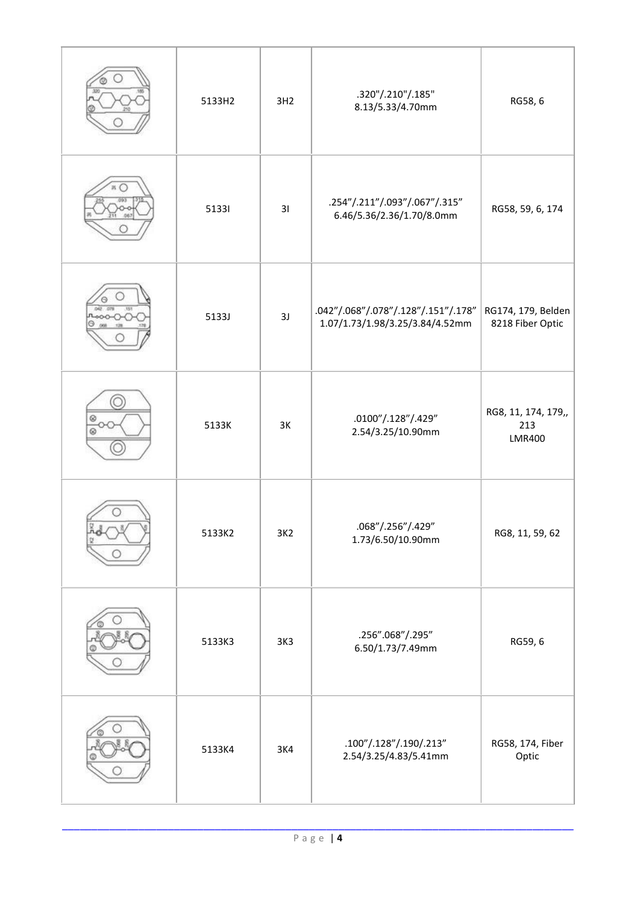| 5133H2 | 3H2 | .320"/.210"/.185"<br>8.13/5.33/4.70mm                                                       | RG58, 6                                     |
|--------|-----|---------------------------------------------------------------------------------------------|---------------------------------------------|
| 51331  | 31  | .254"/.211"/.093"/.067"/.315"<br>6.46/5.36/2.36/1.70/8.0mm                                  | RG58, 59, 6, 174                            |
| 5133J  | 3J  | .042"/.068"/.078"/.128"/.151"/.178"<br>1.07/1.73/1.98/3.25/3.84/4.52mm                      | RG174, 179, Belden<br>8218 Fiber Optic      |
| 5133K  | 3K  | .0100"/.128"/.429"<br>2.54/3.25/10.90mm                                                     | RG8, 11, 174, 179,,<br>213<br><b>LMR400</b> |
| 5133K2 | 3K2 | .068"/.256"/.429"<br>1.73/6.50/10.90mm                                                      | RG8, 11, 59, 62                             |
| 5133K3 | 3K3 | .256".068"/.295"<br>6.50/1.73/7.49mm                                                        | RG59, 6                                     |
| 5133K4 | 3K4 | $.100^{\prime\prime}/.128^{\prime\prime}/.190/.213^{\prime\prime}$<br>2.54/3.25/4.83/5.41mm | RG58, 174, Fiber<br>Optic                   |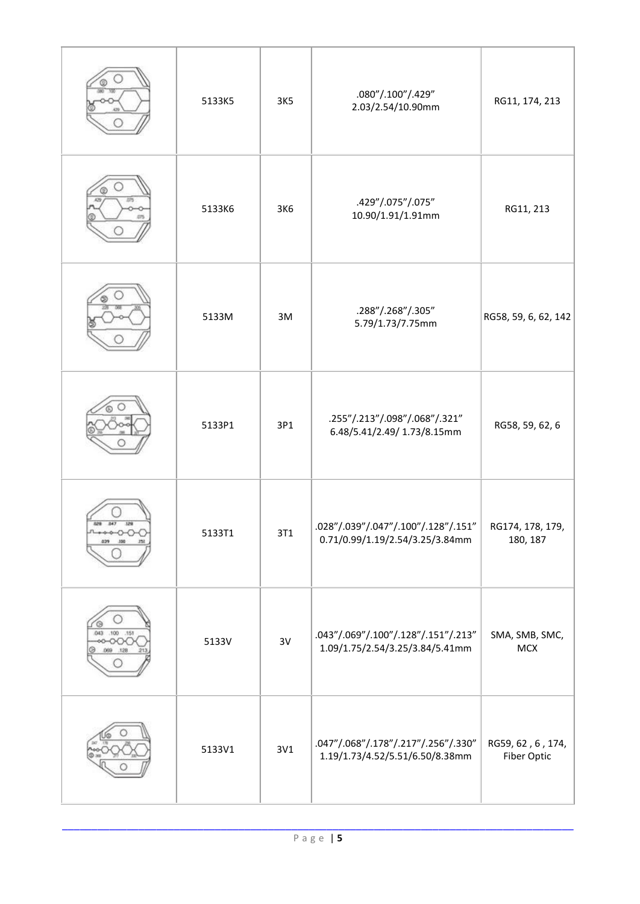|                       | 5133K5 | 3K5 | .080"/.100"/.429"<br>2.03/2.54/10.90mm                                 | RG11, 174, 213                   |
|-----------------------|--------|-----|------------------------------------------------------------------------|----------------------------------|
|                       | 5133K6 | 3K6 | .429"/.075"/.075"<br>10.90/1.91/1.91mm                                 | RG11, 213                        |
|                       | 5133M  | 3M  | .288"/.268"/.305"<br>5.79/1.73/7.75mm                                  | RG58, 59, 6, 62, 142             |
|                       | 5133P1 | 3P1 | .255"/.213"/.098"/.068"/.321"<br>6.48/5.41/2.49/ 1.73/8.15mm           | RG58, 59, 62, 6                  |
|                       | 5133T1 | 3T1 | .028"/.039"/.047"/.100"/.128"/.151"<br>0.71/0.99/1.19/2.54/3.25/3.84mm | RG174, 178, 179,<br>180, 187     |
| 043<br>.100151<br>129 | 5133V  | 3V  | .043"/.069"/.100"/.128"/.151"/.213"<br>1.09/1.75/2.54/3.25/3.84/5.41mm | SMA, SMB, SMC,<br><b>MCX</b>     |
|                       | 5133V1 | 3V1 | .047"/.068"/.178"/.217"/.256"/.330"<br>1.19/1.73/4.52/5.51/6.50/8.38mm | RG59, 62, 6, 174,<br>Fiber Optic |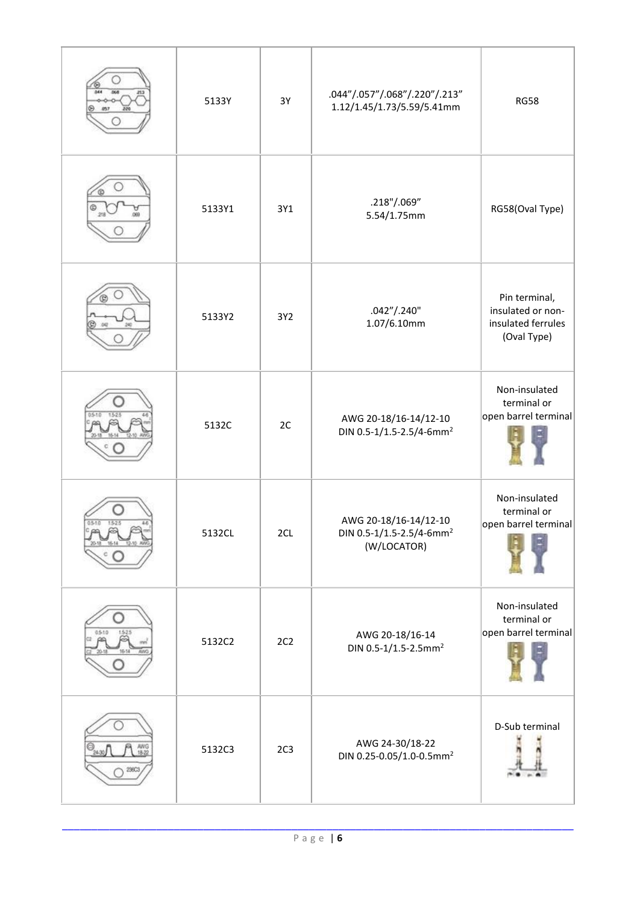| 221                    | 5133Y  | 3Y              | .044"/.057"/.068"/.220"/.213"<br>1.12/1.45/1.73/5.59/5.41mm                  | <b>RG58</b>                                                             |
|------------------------|--------|-----------------|------------------------------------------------------------------------------|-------------------------------------------------------------------------|
|                        | 5133Y1 | 3Y1             | .218"/.069"<br>5.54/1.75mm                                                   | RG58(Oval Type)                                                         |
|                        | 5133Y2 | 3Y2             | .042''/.240''<br>1.07/6.10mm                                                 | Pin terminal,<br>insulated or non-<br>insulated ferrules<br>(Oval Type) |
|                        | 5132C  | 2C              | AWG 20-18/16-14/12-10<br>DIN 0.5-1/1.5-2.5/4-6mm <sup>2</sup>                | Non-insulated<br>terminal or<br>open barrel terminal                    |
| $0.5 - 1.0$<br>1.5.2.5 | 5132CL | 2CL             | AWG 20-18/16-14/12-10<br>DIN 0.5-1/1.5-2.5/4-6mm <sup>2</sup><br>(W/LOCATOR) | Non-insulated<br>terminal or<br>open barrel terminal                    |
| 0510                   | 5132C2 | 2C2             | AWG 20-18/16-14<br>DIN 0.5-1/1.5-2.5mm <sup>2</sup>                          | Non-insulated<br>terminal or<br>open barrel terminal                    |
| AWG<br>18-22           | 5132C3 | 2C <sub>3</sub> | AWG 24-30/18-22<br>DIN 0.25-0.05/1.0-0.5mm <sup>2</sup>                      | D-Sub terminal                                                          |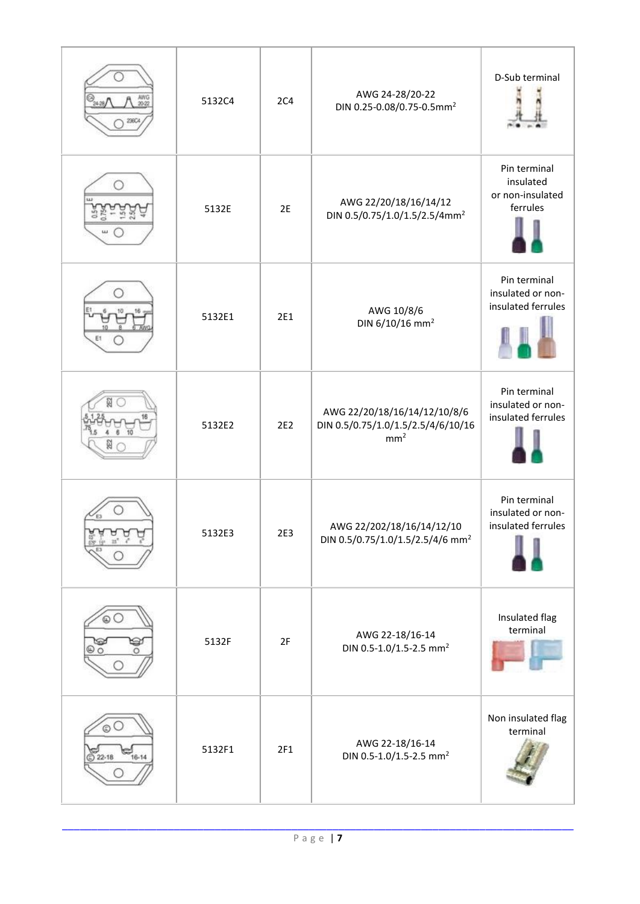| AWG<br>20-22<br>24.28/ | 5132C4 | 2C <sub>4</sub> | AWG 24-28/20-22<br>DIN 0.25-0.08/0.75-0.5mm <sup>2</sup>                              | D-Sub terminal                                            |
|------------------------|--------|-----------------|---------------------------------------------------------------------------------------|-----------------------------------------------------------|
|                        | 5132E  | 2E              | AWG 22/20/18/16/14/12<br>DIN 0.5/0.75/1.0/1.5/2.5/4mm <sup>2</sup>                    | Pin terminal<br>insulated<br>or non-insulated<br>ferrules |
|                        | 5132E1 | 2E1             | AWG 10/8/6<br>DIN 6/10/16 mm <sup>2</sup>                                             | Pin terminal<br>insulated or non-<br>insulated ferrules   |
| $8 \t10$               | 5132E2 | 2E2             | AWG 22/20/18/16/14/12/10/8/6<br>DIN 0.5/0.75/1.0/1.5/2.5/4/6/10/16<br>mm <sup>2</sup> | Pin terminal<br>insulated or non-<br>insulated ferrules   |
|                        | 5132E3 | 2E3             | AWG 22/202/18/16/14/12/10<br>DIN 0.5/0.75/1.0/1.5/2.5/4/6 mm <sup>2</sup>             | Pin terminal<br>insulated or non-<br>insulated ferrules   |
| s<br>$\circ$           | 5132F  | 2F              | AWG 22-18/16-14<br>DIN 0.5-1.0/1.5-2.5 mm <sup>2</sup>                                | Insulated flag<br>terminal                                |
| $16 - 14$              | 5132F1 | 2F1             | AWG 22-18/16-14<br>DIN 0.5-1.0/1.5-2.5 mm <sup>2</sup>                                | Non insulated flag<br>terminal                            |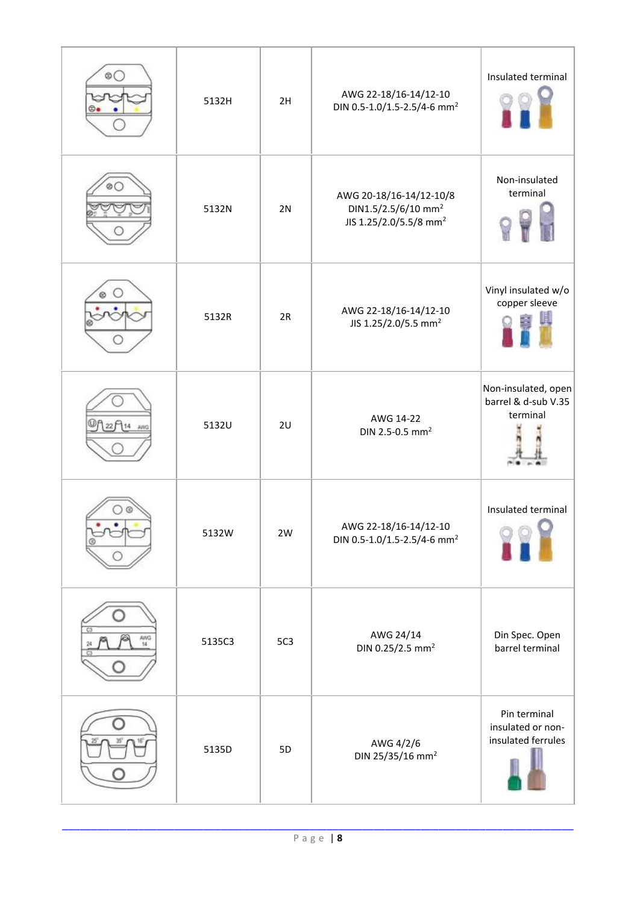|           | 5132H  | 2H  | AWG 22-18/16-14/12-10<br>DIN 0.5-1.0/1.5-2.5/4-6 mm <sup>2</sup>                                 | Insulated terminal                                      |
|-----------|--------|-----|--------------------------------------------------------------------------------------------------|---------------------------------------------------------|
|           | 5132N  | 2N  | AWG 20-18/16-14/12-10/8<br>DIN1.5/2.5/6/10 mm <sup>2</sup><br>JIS 1.25/2.0/5.5/8 mm <sup>2</sup> | Non-insulated<br>terminal                               |
|           | 5132R  | 2R  | AWG 22-18/16-14/12-10<br>JIS 1.25/2.0/5.5 mm <sup>2</sup>                                        | Vinyl insulated w/o<br>copper sleeve                    |
|           | 5132U  | 2U  | AWG 14-22<br>DIN 2.5-0.5 mm <sup>2</sup>                                                         | Non-insulated, open<br>barrel & d-sub V.35<br>terminal  |
|           | 5132W  | 2W  | AWG 22-18/16-14/12-10<br>DIN 0.5-1.0/1.5-2.5/4-6 mm <sup>2</sup>                                 | Insulated terminal                                      |
| AWG<br>14 | 5135C3 | 5C3 | AWG 24/14<br>DIN 0.25/2.5 mm <sup>2</sup>                                                        | Din Spec. Open<br>barrel terminal                       |
|           | 5135D  | 5D  | AWG 4/2/6<br>DIN 25/35/16 mm <sup>2</sup>                                                        | Pin terminal<br>insulated or non-<br>insulated ferrules |